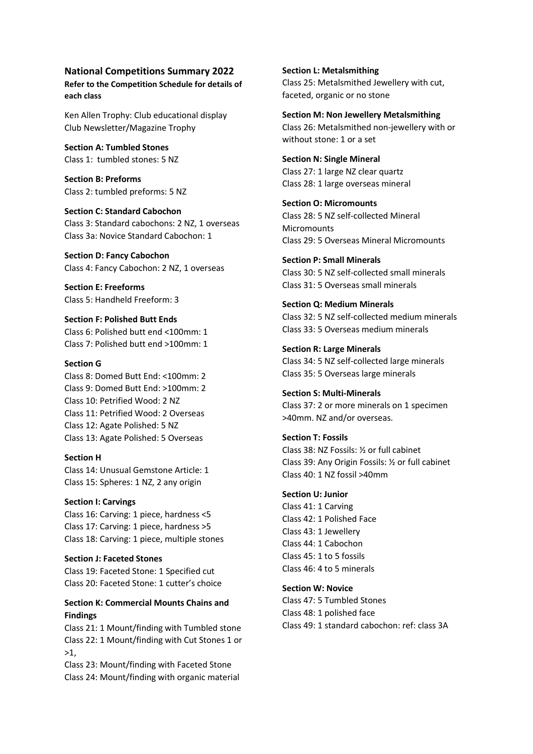### **National Competitions Summary 2022**

**Refer to the Competition Schedule for details of each class**

Ken Allen Trophy: Club educational display Club Newsletter/Magazine Trophy

**Section A: Tumbled Stones** Class 1: tumbled stones: 5 NZ

**Section B: Preforms** Class 2: tumbled preforms: 5 NZ

**Section C: Standard Cabochon** Class 3: Standard cabochons: 2 NZ, 1 overseas Class 3a: Novice Standard Cabochon: 1

**Section D: Fancy Cabochon** Class 4: Fancy Cabochon: 2 NZ, 1 overseas

**Section E: Freeforms** Class 5: Handheld Freeform: 3

**Section F: Polished Butt Ends** Class 6: Polished butt end <100mm: 1 Class 7: Polished butt end >100mm: 1

### **Section G**

Class 8: Domed Butt End: <100mm: 2 Class 9: Domed Butt End: >100mm: 2 Class 10: Petrified Wood: 2 NZ Class 11: Petrified Wood: 2 Overseas Class 12: Agate Polished: 5 NZ Class 13: Agate Polished: 5 Overseas

### **Section H**

Class 14: Unusual Gemstone Article: 1 Class 15: Spheres: 1 NZ, 2 any origin

### **Section I: Carvings**

Class 16: Carving: 1 piece, hardness <5 Class 17: Carving: 1 piece, hardness >5 Class 18: Carving: 1 piece, multiple stones

**Section J: Faceted Stones** Class 19: Faceted Stone: 1 Specified cut Class 20: Faceted Stone: 1 cutter's choice

## **Section K: Commercial Mounts Chains and Findings**

Class 21: 1 Mount/finding with Tumbled stone Class 22: 1 Mount/finding with Cut Stones 1 or  $>1$ .

Class 23: Mount/finding with Faceted Stone Class 24: Mount/finding with organic material **Section L: Metalsmithing** Class 25: Metalsmithed Jewellery with cut, faceted, organic or no stone

**Section M: Non Jewellery Metalsmithing** Class 26: Metalsmithed non-jewellery with or without stone: 1 or a set

**Section N: Single Mineral** Class 27: 1 large NZ clear quartz Class 28: 1 large overseas mineral

**Section O: Micromounts** Class 28: 5 NZ self-collected Mineral **Micromounts** Class 29: 5 Overseas Mineral Micromounts

**Section P: Small Minerals** Class 30: 5 NZ self-collected small minerals Class 31: 5 Overseas small minerals

**Section Q: Medium Minerals** Class 32: 5 NZ self-collected medium minerals Class 33: 5 Overseas medium minerals

**Section R: Large Minerals** Class 34: 5 NZ self-collected large minerals Class 35: 5 Overseas large minerals

**Section S: Multi-Minerals** Class 37: 2 or more minerals on 1 specimen >40mm. NZ and/or overseas.

**Section T: Fossils** Class 38: NZ Fossils: ½ or full cabinet Class 39: Any Origin Fossils: ½ or full cabinet Class 40: 1 NZ fossil >40mm

**Section U: Junior**

Class 41: 1 Carving Class 42: 1 Polished Face Class 43: 1 Jewellery Class 44: 1 Cabochon Class 45: 1 to 5 fossils Class 46: 4 to 5 minerals

**Section W: Novice**

Class 47: 5 Tumbled Stones Class 48: 1 polished face Class 49: 1 standard cabochon: ref: class 3A